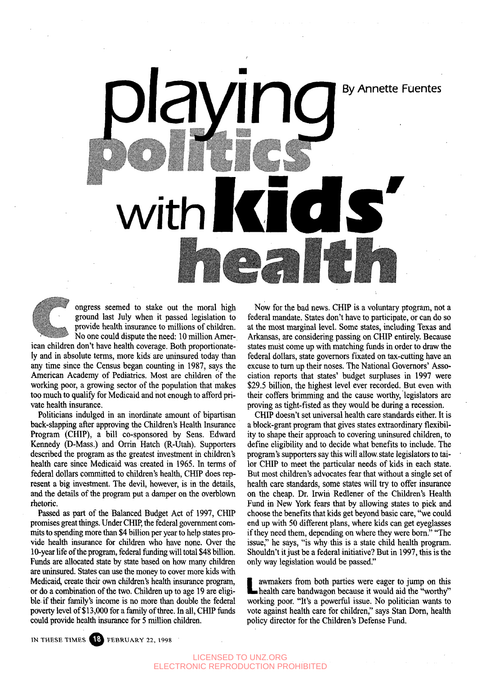## By Annette Fuentes With**Felixer**

ongress seemed to stake out the moral high ground last July when it passed legislation to provide health insurance to millions of children. No one could dispute the need: 10 million Amer-

ican children don't have health coverage. Both proportionately and in absolute terms, more kids are uninsured today than any time since the Census began counting in 1987, says the American Academy of Pediatrics. Most are children of the working poor, a growing sector of the population that makes too much to qualify for Medicaid and not enough to afford private health insurance.

Politicians indulged in an inordinate amount of bipartisan back-slapping after approving the Children's Health Insurance Program (CHIP), a bill co-sponsored by Sens. Edward Kennedy (D-Mass.) and Orrin Hatch (R-Utah). Supporters described the program as the greatest investment in children's health care since Medicaid was created in 1965. In terms of federal dollars committed to children's health, CHIP does represent a big investment. The devil, however, is in the details, and the details of the program put a damper on the overblown rhetoric.

Passed as part of the Balanced Budget Act of 1997, CHIP promises great things. Under CHIP, the federal government commits to spending more than \$4 billion per year to help states provide health insurance for children who have none. Over the 10-year life of the program, federal funding will total \$48 billion. Funds are allocated state by state based on how many children are uninsured. States can use the money to cover more kids with Medicaid, create their own children's health insurance program, or do a combination of the two. Children up to age 19 are eligible if their family's income is no more than double the federal poverty level of \$13,000 for a family of three. In all, CHIP funds could provide health insurance for 5 million children.

Now for the bad news. CHIP is a voluntary program, not a federal mandate. States don't have to participate, or can do so at the most marginal level. Some states, including Texas and Arkansas, are considering passing on CHIP entirely. Because states must come up with matching funds in order to draw the federal dollars, state governors fixated on tax-cutting have an excuse to turn up their noses. The National Governors' Association reports that states' budget surpluses in 1997 were \$29.5 billion, the highest level ever recorded. But even with their coffers brimming and the cause worthy, legislators are proving as tight-fisted as they would be during a recession.

CHIP doesn't set universal health care standards either. It is a block-grant program that gives states extraordinary flexibility to shape their approach to covering uninsured children, to define eligibility and to decide what benefits to include. The program's supporters say this will allow state legislators to tailor CHIP to meet the particular needs of kids in each state. But most children's advocates fear that without a single set of health care standards, some states will try to offer insurance on the cheap. Dr. Irwiri Redlener of the Children's Health Fund in New York fears that by allowing states to pick and choose the benefits that kids get beyond basic care, "we could end up with 50 different plans, where kids can get eyeglasses if they need them, depending on where they were born." "The issue," he says, "is why this is a state child health program. Shouldn't it just be a federal initiative? But in 1997, this is the only way legislation would be passed."

L health care bandwagon because it would aid the "worthy" awmakers from both parties were eager to jump on this working poor. "It's a powerful issue. No politician wants to vote against health care for children," says Stan Dorn, health policy director for the Children's Defense Fund.

IN THESE TIMES **18** FEBRUARY 22, 1998

LICENSED TO UNZ.ORG ELECTRONIC REPRODUCTION PROHIBITED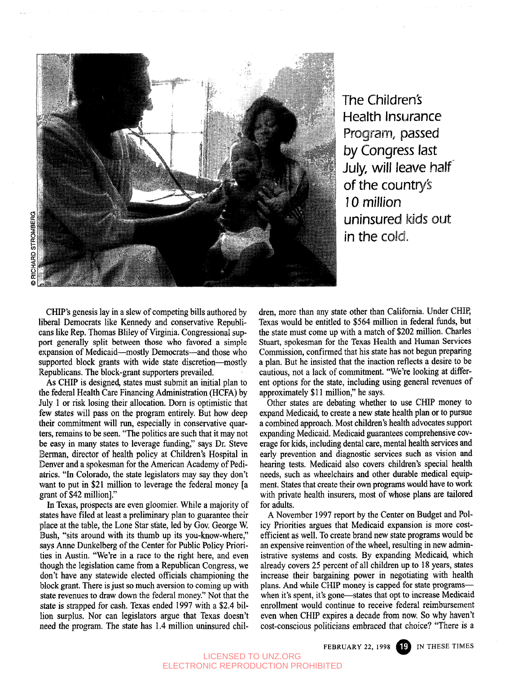

The Children's Health insurance Program, passed by Congress last July, will leave half of the country's 10 million uninsured kids out in the cold.

CHIP's genesis lay in a slew of competing bills authored by liberal Democrats like Kennedy and conservative Republicans like Rep. Thomas Bliley of Virginia. Congressional support generally split between those who favored a simple expansion of Medicaid—mostly Democrats—and those who supported block grants with wide state discretion—mostly Republicans. The block-grant supporters prevailed.

As CHIP is designed, states must submit an initial plan to the federal Health Care Financing Administration (HCFA) by July 1 or risk losing their allocation. Dorn is optimistic that few states will pass on the program entirely. But how deep their commitment will run, especially in conservative quarters, remains to be seen. "The politics are such that it may not be easy in many states to leverage funding," says Dr. Steve Berman, director of health policy at Children's Hospital in Denver and a spokesman for the American Academy of Pediatrics. "In Colorado, the state legislators may say they don't want to put in \$21 million to leverage the federal money [a grant of \$42 million]."

In Texas, prospects are even gloomier. While a majority of states have filed at least a preliminary plan to guarantee their place at the table, the Lone Star state, led by Gov. George W. Bush, "sits around with its thumb up its you-know-where," says Anne Dunkelberg of the Center for Public Policy Priorities in Austin. "We're in a race to the right here, and even though the legislation came from a Republican Congress, we don't have any statewide elected officials championing the block grant. There is just so much aversion to coming up with state revenues to draw down the federal money." Not that the state is strapped for cash. Texas ended 1997 with a \$2.4 billion surplus. Nor can legislators argue that Texas doesn't need the program. The state has 1.4 million uninsured children, more than any state other than California. Under CHIP, Texas would be entitled to \$564 million in federal funds, but the state must come up with a match of \$202 million. Charles Stuart, spokesman for the Texas Health and Human Services Commission, confirmed that his state has not begun preparing a plan. But he insisted that the inaction reflects a desire to be cautious, not a lack of commitment. "We're looking at different options for the state, including using general revenues of approximately \$11 million," he says.

Other states are debating whether to use CHIP money to expand Medicaid, to create a new state health plan or to pursue a combined approach. Most children's health advocates support expanding Medicaid. Medicaid guarantees comprehensive coverage for kids, including dental care, mental health services and early prevention and diagnostic services such as vision and hearing tests. Medicaid also covers children's special health needs, such as wheelchairs and other durable medical equipment. States that create their own programs would have to work with private health insurers, most of whose plans are tailored for adults.

A November 1997 report by the Center on Budget and Policy Priorities argues that Medicaid expansion is more costefficient as well. To create brand new state programs would be an expensive reinvention of the wheel, resulting in new administrative systems and costs. By expanding Medicaid, which already covers 25 percent of all children up to 18 years, states increase their bargaining power in negotiating with health plans. And while CHIP money is capped for state programs when it's spent, it's gone—states that opt to increase Medicaid enrollment would continue to receive federal reimbursement even when CHIP expires a decade from now. So why haven't cost-conscious politicians embraced that choice? "There is a

FEBRUARY 22, 1998 **ID** IN THESE TIMES

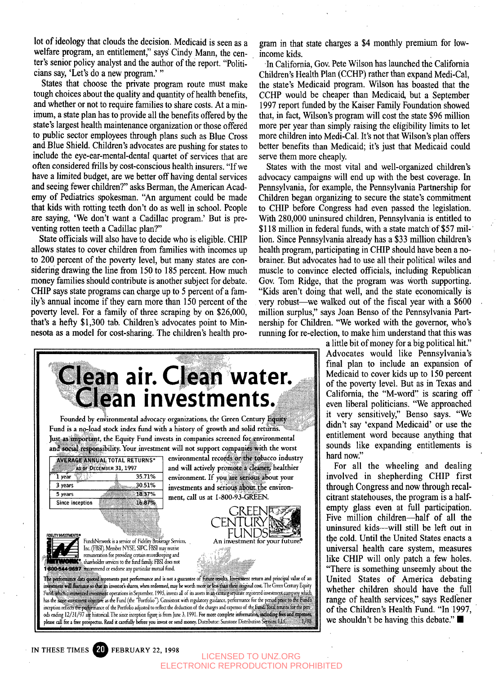lot of ideology that clouds the decision. Medicaid is seen as a welfare program, an entitlement," says' Cindy Mann, the center's senior policy analyst and the author of the report. "Politicians say, 'Let's do a new program.' "

States that choose the private program route must make tough choices about the quality and quantity of health benefits, and whether or not to require families to share costs. At a minimum, a state plan has to provide all the benefits offered by the state's largest health maintenance organization or those offered to public sector employees through plans such as Blue Cross and Blue Shield. Children's advocates are pushing for states to include the eye-ear-mental-dental quartet of services that are often considered frills by cost-conscious health insurers. "If we have a limited budget, are we better off having dental services and seeing fewer children?" asks Berman, the American Academy of Pediatrics spokesman. "An argument could be made that kids with rotting teeth don't do as well in school. People are saying, 'We don't want a Cadillac program.' But is preventing rotten teeth a Cadillac plan?"

State officials will also have to decide who is eligible. CHIP allows states to cover children from families with incomes up to 200 percent of the poverty level, but many states are considering drawing the line from 150 to 185 percent. How much money families should contribute is another subject for debate. CHIP says state programs can charge up to 5 percent of a family's annual income if they earn more than 150 percent of the poverty level. For a family of three scraping by on \$26,000, that's a hefty \$1,300 tab. Children's advocates point to Minnesota as a model for cost-sharing. The children's health program in that state charges a \$4 monthly premium for lowincome kids.

In California, Gov. Pete Wilson has launched the California Children's Health Plan (CCHP) rather than expand Medi-Cal, the state's Medicaid program. Wilson has boasted that the CCHP would be cheaper than Medicaid, but a September 1997 report funded by the Kaiser Family Foundation showed that, in fact, Wilson's program will cost the state \$96 million more per year than simply raising the eligibility limits to let more children into Medi-Cal. It's not that Wilson's plan offers better benefits than Medicaid; it's just that Medicaid could serve them more cheaply.

States with the most vital and well-organized children's advocacy campaigns will end up with the best coverage. In Pennsylvania, for example, the Pennsylvania Partnership for Children began organizing to secure the state's commitment to CHIP before Congress had even passed the legislation. With 280,000 uninsured children, Pennsylvania is entitled to \$118 million in federal funds, with a state match of \$57 million. Since Pennsylvania already has a \$33 million children's health program, participating in CHIP should have been a nobrainer. But advocates had to use all their political wiles and muscle to convince elected officials, including Republican Gov. Tom Ridge, that the program was worth supporting. "Kids aren't doing that well, and the state economically is very robust—we walked out of the fiscal year with a \$600 million surplus," says Joan Benso of the Pennsylvania Partnership for Children. "We worked with the governor, who's running for re-election, to make him understand that this was

**Clean air. Clean water. Clean investments. Founded by environmental advocacy organizations, the Green Century Fund is a no-load stock index fund with a history of growth and solid returns. .^. •:?i?'iX..:x J O** Just as important, the Equity Fund invests in companies screened for environmental and social responsibility. Your investment will not support companies with the worst environmental records or the tobacco industry **AVERAGE ANNUAL TOTAL RETURNS\*** and will actively promote a cleaner, healthier AS OF DECEMBER 31, 1997 35.71% **1 year** environment. If you are serious about your 3 years 30.51% investments and serious about the environ-**5 years** 1837% **ment, call us at** I-800-93-GREEN. 1687% **Since inception** REENET. CENTURY FUNDSI **BDELITY INVESTMENTS\*** FundsNetwork is a service of Fidelity Brokerage Services, An investment for your future? Inc. (FBSI) Member NYSE, SIPC. FBSI may receive remuneration for providing certain recordkeeping and **K**<sup>8</sup> shareholder services to the fund family. FBSI does not 800-544-9697 recommend or endorse any particular mutual fund. its past performance and is not a guarantee **it return and principal value of an** i investors shares, when redeemed, may be worth **cost The Green Century** Equity t operations in September, 1995, invests all of its assets in an existing separate registered investme has the same investment objective as the Fund (the "Portfolio"). Consistent with regulatory guidance, performance for the period prior to the Fund's inception reflects the performance of the Portfolio adjusted to reflect the deduction of the charges and expenses of the Eunida foral returns for the periods ending 12/31/97 are historical. The since inception figure is from June 3, 1991. For more complete information, including free and expenplease call for a free prospectus. Read it carefully before you invest or send money. Distributor: Sunstone Distribul

a little bit of money for a big political hit." Advocates would like Pennsylvania's final plan to include an expansion of Medicaid to cover kids up to 150 percent of the poverty level. But as in Texas and California, the "M-word" is scaring off even liberal politicians. "We approached it very sensitively," Benso says. "We didn't say 'expand Medicaid' or use the entitlement word because anything that sounds like expanding entitlements is hard now."

For all the wheeling and dealing involved in shepherding CHIP first through Congress and now through recalcitrant statehouses, the program is a halfempty glass even at full participation. Five million children—half of all the uninsured kids—will still be left but in the cold. Until the United States enacts a universal health care system, measures like CHIP will only patch a few holes. "There is something unseemly about the United States of America debating whether children should have the full range of health services," says Redlener of the Children's Health Fund. "In 1997, we shouldn't be having this debate."

IN THESE TIMES **FEBRUARY** 22, **1998**

LICENSED TO UNZ.ORG ELECTRONIC REPRODUCTION PROHIBITED